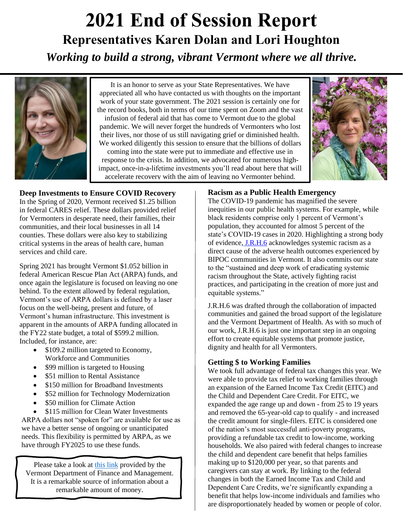# *Working to build a strong, vibrant Vermont where we all thrive.* **2021 End of Session Report Representatives Karen Dolan and Lori Houghton**



It is an honor to serve as your State Representatives. We have appreciated all who have contacted us with thoughts on the important work of your state government. The 2021 session is certainly one for the record books, both in terms of our time spent on Zoom and the vast infusion of federal aid that has come to Vermont due to the global pandemic. We will never forget the hundreds of Vermonters who lost their lives, nor those of us still navigating grief or diminished health. We worked diligently this session to ensure that the billions of dollars coming into the state were put to immediate and effective use in response to the crisis. In addition, we advocated for numerous highimpact, once-in-a-lifetime investments you'll read about here that will accelerate recovery with the aim of leaving no Vermonter behind.



### **Deep Investments to Ensure COVID Recovery**

In the Spring of 2020, Vermont received \$1.25 billion in federal CARES relief. These dollars provided relief for Vermonters in desperate need, their families, their communities, and their local businesses in all 14 counties. These dollars were also key to stabilizing critical systems in the areas of health care, human services and child care.

Spring 2021 has brought Vermont \$1.052 billion in federal American Rescue Plan Act (ARPA) funds, and once again the legislature is focused on leaving no one behind. To the extent allowed by federal regulation, Vermont's use of ARPA dollars is defined by a laser focus on the well-being, present and future, of Vermont's human infrastructure. This investment is apparent in the amounts of ARPA funding allocated in the FY22 state budget, a total of \$599.2 million. Included, for instance, are:

- \$109.2 million targeted to Economy, Workforce and Communities
- \$99 million is targeted to Housing
- \$51 million to Rental Assistance
- \$150 million for Broadband Investments
- \$52 million for Technology Modernization
- \$50 million for Climate Action
- \$115 million for Clean Water Investments

ARPA dollars not "spoken for" are available for use as we have a better sense of ongoing or unanticipated needs. This flexibility is permitted by ARPA, as we have through FY2025 to use these funds.

Please take a look at [this link](https://spotlight.vermont.gov/expenditures-it-and-employees/crf-transparency) provided by the Vermont Department of Finance and Management. It is a remarkable source of information about a remarkable amount of money.

## **Racism as a Public Health Emergency**

The COVID-19 pandemic has magnified the severe inequities in our public health systems. For example, while black residents comprise only 1 percent of Vermont's population, they accounted for almost 5 percent of the state's COVID-19 cases in 2020. Highlighting a strong body of evidence[,](https://legislature.vermont.gov/Documents/2022/Docs/RESOLUTN/JRH006/JRH006%20As%20Introduced.pdf) [J.R.H.6](https://legislature.vermont.gov/Documents/2022/Docs/RESOLUTN/JRH006/JRH006%20As%20Introduced.pdf) acknowledges systemic racism as a direct cause of the adverse health outcomes experienced by BIPOC communities in Vermont. It also commits our state to the "sustained and deep work of eradicating systemic racism throughout the State, actively fighting racist practices, and participating in the creation of more just and equitable systems."

J.R.H.6 was drafted through the collaboration of impacted communities and gained the broad support of the legislature and the Vermont Department of Health. As with so much of our work, J.R.H.6 is just one important step in an ongoing effort to create equitable systems that promote justice, dignity and health for all Vermonters.

## **Getting \$ to Working Families**

We took full advantage of federal tax changes this year. We were able to provide tax relief to working families through an expansion of the Earned Income Tax Credit (EITC) and the Child and Dependent Care Credit. For EITC, we expanded the age range up and down - from 25 to 19 years and removed the 65-year-old cap to qualify - and increased the credit amount for single-filers. EITC is considered one of the nation's most successful anti-poverty programs, providing a refundable tax credit to low-income, working households. We also paired with federal changes to increase the child and dependent care benefit that helps families making up to \$120,000 per year, so that parents and caregivers can stay at work. By linking to the federal changes in both the Earned Income Tax and Child and Dependent Care Credits, we're significantly expanding a benefit that helps low-income individuals and families who are disproportionately headed by women or people of color.